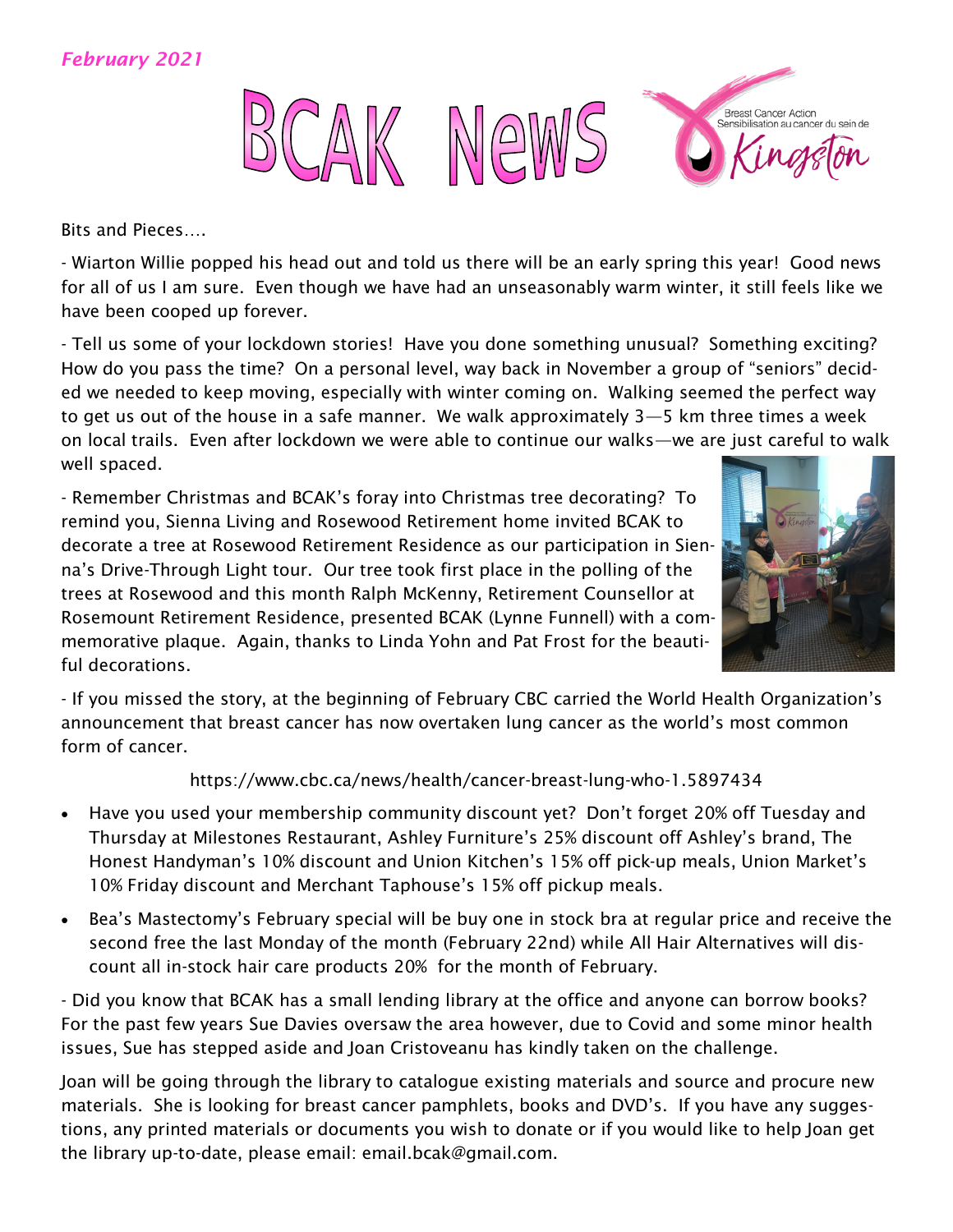### *February 2021*



Bits and Pieces….

- Wiarton Willie popped his head out and told us there will be an early spring this year! Good news for all of us I am sure. Even though we have had an unseasonably warm winter, it still feels like we have been cooped up forever.

- Tell us some of your lockdown stories! Have you done something unusual? Something exciting? How do you pass the time? On a personal level, way back in November a group of "seniors" decided we needed to keep moving, especially with winter coming on. Walking seemed the perfect way to get us out of the house in a safe manner. We walk approximately 3—5 km three times a week on local trails. Even after lockdown we were able to continue our walks—we are just careful to walk well spaced.

- Remember Christmas and BCAK's foray into Christmas tree decorating? To remind you, Sienna Living and Rosewood Retirement home invited BCAK to decorate a tree at Rosewood Retirement Residence as our participation in Sienna's Drive-Through Light tour. Our tree took first place in the polling of the trees at Rosewood and this month Ralph McKenny, Retirement Counsellor at Rosemount Retirement Residence, presented BCAK (Lynne Funnell) with a commemorative plaque. Again, thanks to Linda Yohn and Pat Frost for the beautiful decorations.



- If you missed the story, at the beginning of February CBC carried the World Health Organization's announcement that breast cancer has now overtaken lung cancer as the world's most common form of cancer.

#### https://www.cbc.ca/news/health/cancer-breast-lung-who-1.5897434

- Have you used your membership community discount yet? Don't forget 20% off Tuesday and Thursday at Milestones Restaurant, Ashley Furniture's 25% discount off Ashley's brand, The Honest Handyman's 10% discount and Union Kitchen's 15% off pick-up meals, Union Market's 10% Friday discount and Merchant Taphouse's 15% off pickup meals.
- Bea's Mastectomy's February special will be buy one in stock bra at regular price and receive the second free the last Monday of the month (February 22nd) while All Hair Alternatives will discount all in-stock hair care products 20% for the month of February.

- Did you know that BCAK has a small lending library at the office and anyone can borrow books? For the past few years Sue Davies oversaw the area however, due to Covid and some minor health issues, Sue has stepped aside and Joan Cristoveanu has kindly taken on the challenge.

Joan will be going through the library to catalogue existing materials and source and procure new materials. She is looking for breast cancer pamphlets, books and DVD's. If you have any suggestions, any printed materials or documents you wish to donate or if you would like to help Joan get the library up-to-date, please email: email.bcak@gmail.com.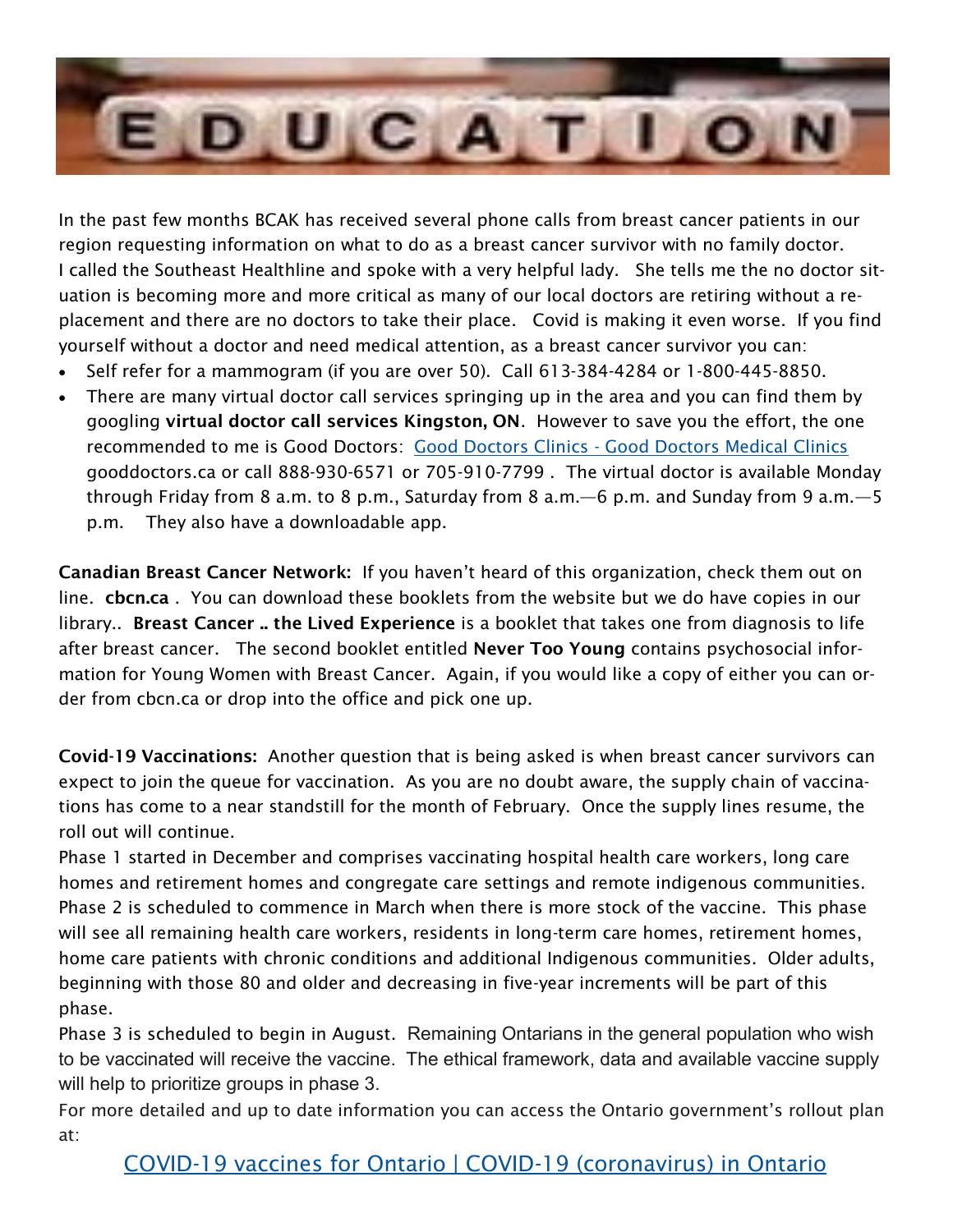

In the past few months BCAK has received several phone calls from breast cancer patients in our region requesting information on what to do as a breast cancer survivor with no family doctor. I called the Southeast Healthline and spoke with a very helpful lady. She tells me the no doctor situation is becoming more and more critical as many of our local doctors are retiring without a replacement and there are no doctors to take their place. Covid is making it even worse. If you find yourself without a doctor and need medical attention, as a breast cancer survivor you can:

- Self refer for a mammogram (if you are over 50). Call 613-384-4284 or 1-800-445-8850.
- There are many virtual doctor call services springing up in the area and you can find them by googling virtual doctor call services Kingston, ON. However to save you the effort, the one recommended to me is Good Doctors: Good Doctors Clinics - [Good Doctors Medical Clinics](https://gooddoctors.ca/) gooddoctors.ca or call 888-930-6571 or 705-910-7799 . The virtual doctor is available Monday through Friday from 8 a.m. to 8 p.m., Saturday from 8 a.m.—6 p.m. and Sunday from 9 a.m.—5 p.m. They also have a downloadable app.

Canadian Breast Cancer Network: If you haven't heard of this organization, check them out on line. cbcn.ca . You can download these booklets from the website but we do have copies in our library.. Breast Cancer .. the Lived Experience is a booklet that takes one from diagnosis to life after breast cancer. The second booklet entitled Never Too Young contains psychosocial information for Young Women with Breast Cancer. Again, if you would like a copy of either you can order from cbcn.ca or drop into the office and pick one up.

Covid-19 Vaccinations: Another question that is being asked is when breast cancer survivors can expect to join the queue for vaccination. As you are no doubt aware, the supply chain of vaccinations has come to a near standstill for the month of February. Once the supply lines resume, the roll out will continue.

Phase 1 started in December and comprises vaccinating hospital health care workers, long care homes and retirement homes and congregate care settings and remote indigenous communities. Phase 2 is scheduled to commence in March when there is more stock of the vaccine. This phase will see all remaining health care workers, residents in long-term care homes, retirement homes, home care patients with chronic conditions and additional Indigenous communities. Older adults, beginning with those 80 and older and decreasing in five-year increments will be part of this phase.

Phase 3 is scheduled to begin in August. Remaining Ontarians in the general population who wish to be vaccinated will receive the vaccine. The ethical framework, data and available vaccine supply will help to prioritize groups in phase 3.

For more detailed and up to date information you can access the Ontario government's rollout plan at: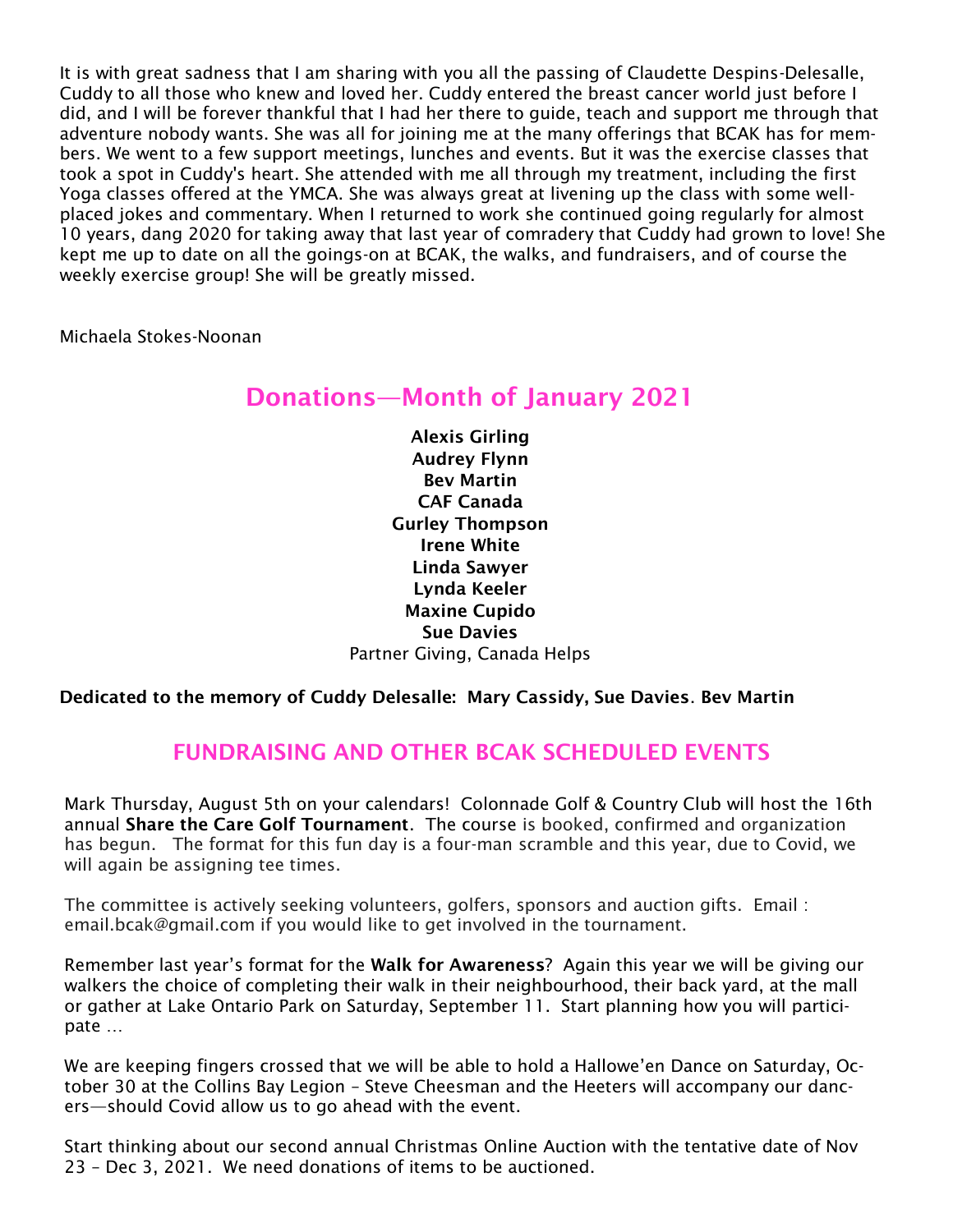It is with great sadness that I am sharing with you all the passing of Claudette Despins-Delesalle, Cuddy to all those who knew and loved her. Cuddy entered the breast cancer world just before I did, and I will be forever thankful that I had her there to guide, teach and support me through that adventure nobody wants. She was all for joining me at the many offerings that BCAK has for members. We went to a few support meetings, lunches and events. But it was the exercise classes that took a spot in Cuddy's heart. She attended with me all through my treatment, including the first Yoga classes offered at the YMCA. She was always great at livening up the class with some wellplaced jokes and commentary. When I returned to work she continued going regularly for almost 10 years, dang 2020 for taking away that last year of comradery that Cuddy had grown to love! She kept me up to date on all the goings-on at BCAK, the walks, and fundraisers, and of course the weekly exercise group! She will be greatly missed.

Michaela Stokes-Noonan

# Donations—Month of January 2021

Alexis Girling Audrey Flynn Bev Martin CAF Canada Gurley Thompson Irene White Linda Sawyer Lynda Keeler Maxine Cupido Sue Davies Partner Giving, Canada Helps

#### Dedicated to the memory of Cuddy Delesalle: Mary Cassidy, Sue Davies. Bev Martin

### FUNDRAISING AND OTHER BCAK SCHEDULED EVENTS

Mark Thursday, August 5th on your calendars! Colonnade Golf & Country Club will host the 16th annual Share the Care Golf Tournament. The course is booked, confirmed and organization has begun. The format for this fun day is a four-man scramble and this year, due to Covid, we will again be assigning tee times.

The committee is actively seeking volunteers, golfers, sponsors and auction gifts. Email : email.bcak@gmail.com if you would like to get involved in the tournament.

Remember last year's format for the Walk for Awareness? Again this year we will be giving our walkers the choice of completing their walk in their neighbourhood, their back yard, at the mall or gather at Lake Ontario Park on Saturday, September 11. Start planning how you will participate …

We are keeping fingers crossed that we will be able to hold a Hallowe'en Dance on Saturday, October 30 at the Collins Bay Legion – Steve Cheesman and the Heeters will accompany our dancers—should Covid allow us to go ahead with the event.

Start thinking about our second annual Christmas Online Auction with the tentative date of Nov 23 – Dec 3, 2021. We need donations of items to be auctioned.